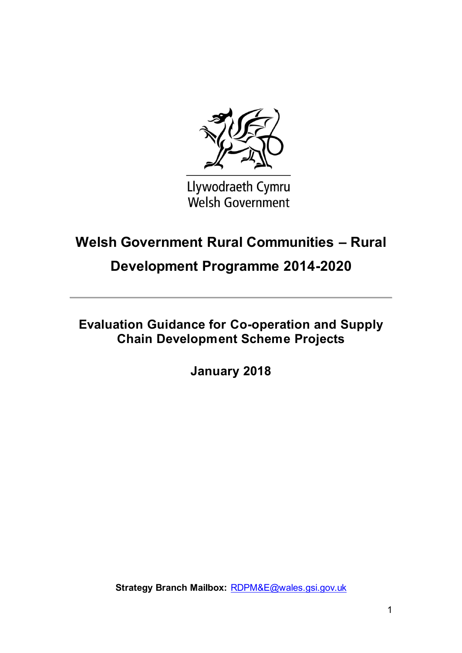

Llywodraeth Cymru **Welsh Government** 

# **Welsh Government Rural Communities – Rural**

## **Development Programme 2014-2020**

**Evaluation Guidance for Co-operation and Supply Chain Development Scheme Projects**

**January 2018**

**Strategy Branch Mailbox:** [RDPM&E@wales.gsi.gov.uk](mailto:RDPM&E@wales.gsi.gov.uk)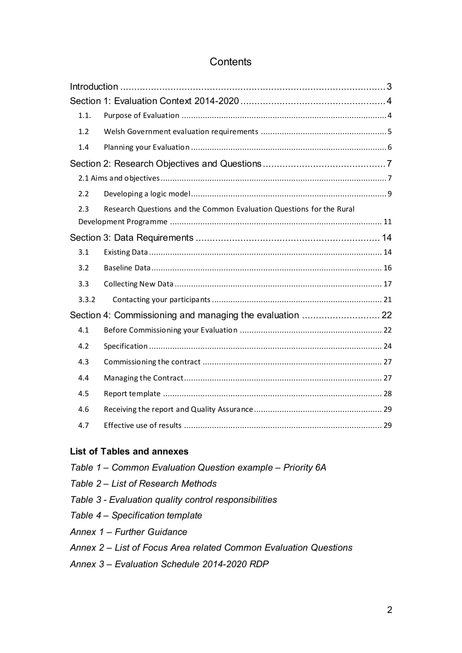## **Contents**

| 1.1.  |                                                                      |  |
|-------|----------------------------------------------------------------------|--|
| 1.2   |                                                                      |  |
| 1.4   |                                                                      |  |
|       |                                                                      |  |
|       |                                                                      |  |
| 2.2   |                                                                      |  |
| 2.3   | Research Questions and the Common Evaluation Questions for the Rural |  |
|       |                                                                      |  |
|       |                                                                      |  |
| 3.1   |                                                                      |  |
| 3.2   |                                                                      |  |
| 3.3   |                                                                      |  |
| 3.3.2 |                                                                      |  |
|       | Section 4: Commissioning and managing the evaluation  22             |  |
| 4.1   |                                                                      |  |
| 4.2   |                                                                      |  |
| 4.3   |                                                                      |  |
| 4.4   |                                                                      |  |
| 4.5   |                                                                      |  |
| 4.6   |                                                                      |  |
| 4.7   |                                                                      |  |

#### **List of Tables and annexes**

*Table 1 – Common Evaluation Question example – Priority 6A Table 2 – List of Research Methods Table 3 - Evaluation quality control responsibilities Table 4 – Specification template Annex 1 – Further Guidance Annex 2 – List of Focus Area related Common Evaluation Questions Annex 3 – Evaluation Schedule 2014-2020 RDP*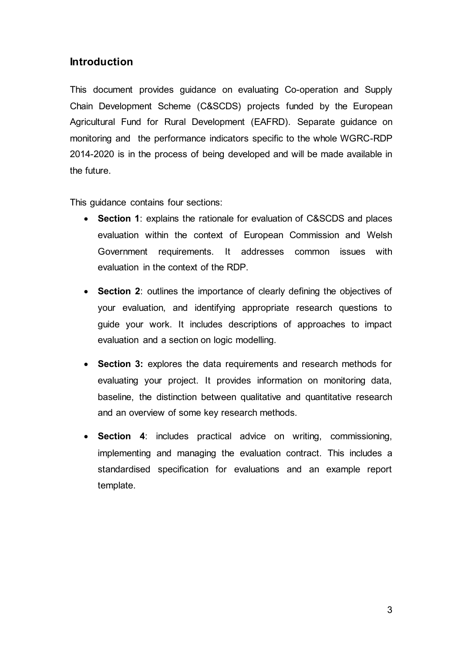### <span id="page-2-0"></span>**Introduction**

This document provides guidance on evaluating Co-operation and Supply Chain Development Scheme (C&SCDS) projects funded by the European Agricultural Fund for Rural Development (EAFRD). Separate guidance on monitoring and the performance indicators specific to the whole WGRC-RDP 2014-2020 is in the process of being developed and will be made available in the future.

This guidance contains four sections:

- **Section 1**: explains the rationale for evaluation of C&SCDS and places evaluation within the context of European Commission and Welsh Government requirements. It addresses common issues with evaluation in the context of the RDP.
- **Section 2**: outlines the importance of clearly defining the objectives of your evaluation, and identifying appropriate research questions to guide your work. It includes descriptions of approaches to impact evaluation and a section on logic modelling.
- **Section 3:** explores the data requirements and research methods for evaluating your project. It provides information on monitoring data, baseline, the distinction between qualitative and quantitative research and an overview of some key research methods.
- **Section 4**: includes practical advice on writing, commissioning, implementing and managing the evaluation contract. This includes a standardised specification for evaluations and an example report template.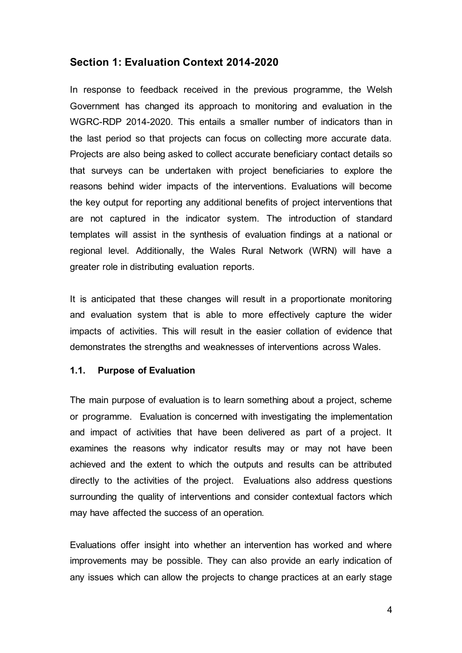#### <span id="page-3-0"></span>**Section 1: Evaluation Context 2014-2020**

In response to feedback received in the previous programme, the Welsh Government has changed its approach to monitoring and evaluation in the WGRC-RDP 2014-2020. This entails a smaller number of indicators than in the last period so that projects can focus on collecting more accurate data. Projects are also being asked to collect accurate beneficiary contact details so that surveys can be undertaken with project beneficiaries to explore the reasons behind wider impacts of the interventions. Evaluations will become the key output for reporting any additional benefits of project interventions that are not captured in the indicator system. The introduction of standard templates will assist in the synthesis of evaluation findings at a national or regional level. Additionally, the Wales Rural Network (WRN) will have a greater role in distributing evaluation reports.

It is anticipated that these changes will result in a proportionate monitoring and evaluation system that is able to more effectively capture the wider impacts of activities. This will result in the easier collation of evidence that demonstrates the strengths and weaknesses of interventions across Wales.

#### <span id="page-3-1"></span>**1.1. Purpose of Evaluation**

The main purpose of evaluation is to learn something about a project, scheme or programme. Evaluation is concerned with investigating the implementation and impact of activities that have been delivered as part of a project. It examines the reasons why indicator results may or may not have been achieved and the extent to which the outputs and results can be attributed directly to the activities of the project. Evaluations also address questions surrounding the quality of interventions and consider contextual factors which may have affected the success of an operation.

Evaluations offer insight into whether an intervention has worked and where improvements may be possible. They can also provide an early indication of any issues which can allow the projects to change practices at an early stage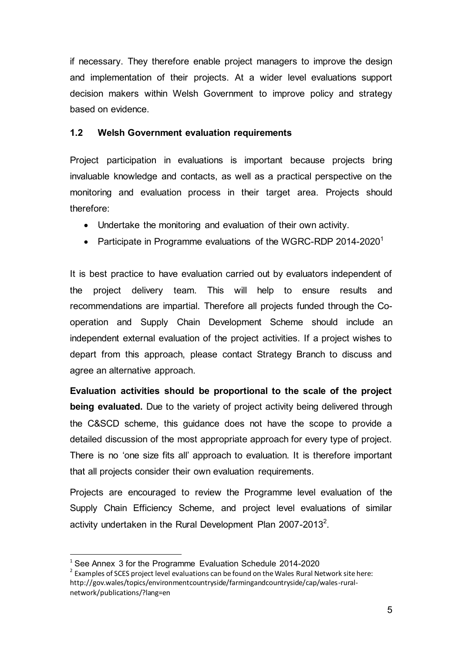if necessary. They therefore enable project managers to improve the design and implementation of their projects. At a wider level evaluations support decision makers within Welsh Government to improve policy and strategy based on evidence.

#### <span id="page-4-0"></span>**1.2 Welsh Government evaluation requirements**

Project participation in evaluations is important because projects bring invaluable knowledge and contacts, as well as a practical perspective on the monitoring and evaluation process in their target area. Projects should therefore:

- Undertake the monitoring and evaluation of their own activity.
- Participate in Programme evaluations of the WGRC-RDP 2014-2020<sup>1</sup>

It is best practice to have evaluation carried out by evaluators independent of the project delivery team. This will help to ensure results and recommendations are impartial. Therefore all projects funded through the Cooperation and Supply Chain Development Scheme should include an independent external evaluation of the project activities. If a project wishes to depart from this approach, please contact Strategy Branch to discuss and agree an alternative approach.

**Evaluation activities should be proportional to the scale of the project being evaluated.** Due to the variety of project activity being delivered through the C&SCD scheme, this guidance does not have the scope to provide a detailed discussion of the most appropriate approach for every type of project. There is no 'one size fits all' approach to evaluation. It is therefore important that all projects consider their own evaluation requirements.

Projects are encouraged to review the Programme level evaluation of the Supply Chain Efficiency Scheme, and project level evaluations of similar activity undertaken in the Rural Development Plan 2007-2013<sup>2</sup>.

 $\overline{a}$ 

<sup>&</sup>lt;sup>1</sup> See Annex 3 for the Programme Evaluation Schedule 2014-2020

 $2$  Examples of SCES project level evaluations can be found on the Wales Rural Network site here: http://gov.wales/topics/environmentcountryside/farmingandcountryside/cap/wales-ruralnetwork/publications/?lang=en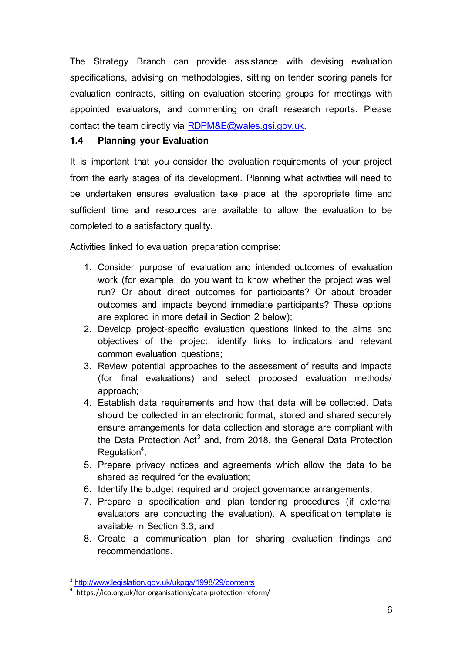The Strategy Branch can provide assistance with devising evaluation specifications, advising on methodologies, sitting on tender scoring panels for evaluation contracts, sitting on evaluation steering groups for meetings with appointed evaluators, and commenting on draft research reports. Please contact the team directly via [RDPM&E@wales.gsi.gov.uk.](mailto:RDPM&E@wales.gsi.gov.uk) 

#### <span id="page-5-0"></span>**1.4 Planning your Evaluation**

It is important that you consider the evaluation requirements of your project from the early stages of its development. Planning what activities will need to be undertaken ensures evaluation take place at the appropriate time and sufficient time and resources are available to allow the evaluation to be completed to a satisfactory quality.

Activities linked to evaluation preparation comprise:

- 1. Consider purpose of evaluation and intended outcomes of evaluation work (for example, do you want to know whether the project was well run? Or about direct outcomes for participants? Or about broader outcomes and impacts beyond immediate participants? These options are explored in more detail in Section 2 below);
- 2. Develop project-specific evaluation questions linked to the aims and objectives of the project, identify links to indicators and relevant common evaluation questions;
- 3. Review potential approaches to the assessment of results and impacts (for final evaluations) and select proposed evaluation methods/ approach;
- 4. Establish data requirements and how that data will be collected. Data should be collected in an electronic format, stored and shared securely ensure arrangements for data collection and storage are compliant with the Data Protection Act<sup>3</sup> and, from 2018, the General Data Protection Regulation<sup>4</sup>;
- 5. Prepare privacy notices and agreements which allow the data to be shared as required for the evaluation;
- 6. Identify the budget required and project governance arrangements;
- 7. Prepare a specification and plan tendering procedures (if external evaluators are conducting the evaluation). A specification template is available in Section 3.3; and
- 8. Create a communication plan for sharing evaluation findings and recommendations.

<sup>&</sup>lt;sup>3</sup> <http://www.legislation.gov.uk/ukpga/1998/29/contents>

<sup>4</sup> https://ico.org.uk/for-organisations/data-protection-reform/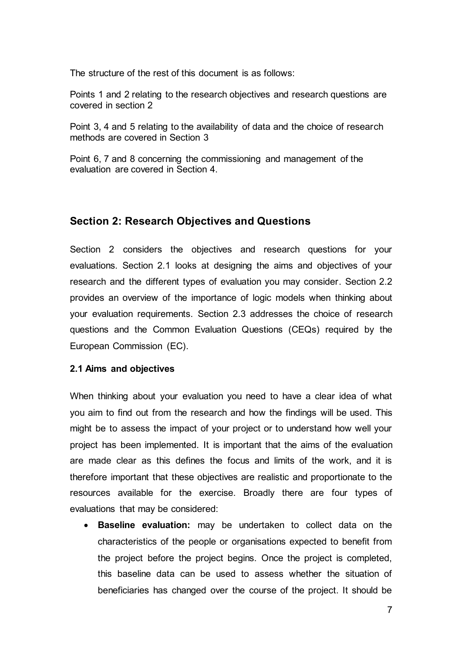The structure of the rest of this document is as follows:

Points 1 and 2 relating to the research objectives and research questions are covered in section 2

Point 3, 4 and 5 relating to the availability of data and the choice of research methods are covered in Section 3

Point 6, 7 and 8 concerning the commissioning and management of the evaluation are covered in Section 4.

## <span id="page-6-0"></span>**Section 2: Research Objectives and Questions**

Section 2 considers the objectives and research questions for your evaluations. Section 2.1 looks at designing the aims and objectives of your research and the different types of evaluation you may consider. Section 2.2 provides an overview of the importance of logic models when thinking about your evaluation requirements. Section 2.3 addresses the choice of research questions and the Common Evaluation Questions (CEQs) required by the European Commission (EC).

#### <span id="page-6-1"></span>**2.1 Aims and objectives**

When thinking about your evaluation you need to have a clear idea of what you aim to find out from the research and how the findings will be used. This might be to assess the impact of your project or to understand how well your project has been implemented. It is important that the aims of the evaluation are made clear as this defines the focus and limits of the work, and it is therefore important that these objectives are realistic and proportionate to the resources available for the exercise. Broadly there are four types of evaluations that may be considered:

 **Baseline evaluation:** may be undertaken to collect data on the characteristics of the people or organisations expected to benefit from the project before the project begins. Once the project is completed, this baseline data can be used to assess whether the situation of beneficiaries has changed over the course of the project. It should be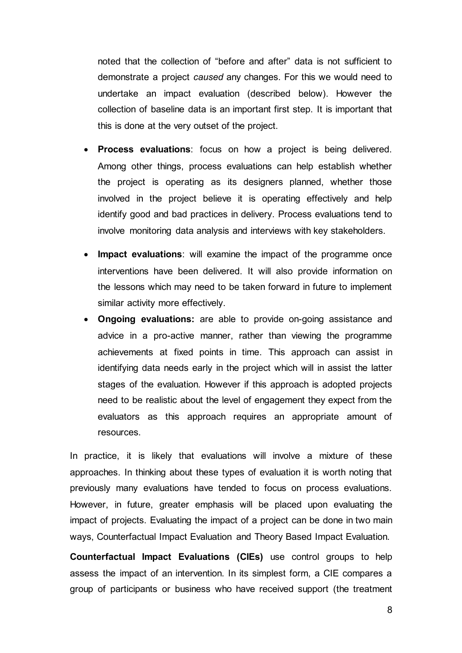noted that the collection of "before and after" data is not sufficient to demonstrate a project *caused* any changes. For this we would need to undertake an impact evaluation (described below). However the collection of baseline data is an important first step. It is important that this is done at the very outset of the project.

- **Process evaluations**: focus on how a project is being delivered. Among other things, process evaluations can help establish whether the project is operating as its designers planned, whether those involved in the project believe it is operating effectively and help identify good and bad practices in delivery. Process evaluations tend to involve monitoring data analysis and interviews with key stakeholders.
- **Impact evaluations**: will examine the impact of the programme once interventions have been delivered. It will also provide information on the lessons which may need to be taken forward in future to implement similar activity more effectively.
- **Ongoing evaluations:** are able to provide on-going assistance and advice in a pro-active manner, rather than viewing the programme achievements at fixed points in time. This approach can assist in identifying data needs early in the project which will in assist the latter stages of the evaluation. However if this approach is adopted projects need to be realistic about the level of engagement they expect from the evaluators as this approach requires an appropriate amount of resources.

In practice, it is likely that evaluations will involve a mixture of these approaches. In thinking about these types of evaluation it is worth noting that previously many evaluations have tended to focus on process evaluations. However, in future, greater emphasis will be placed upon evaluating the impact of projects. Evaluating the impact of a project can be done in two main ways, Counterfactual Impact Evaluation and Theory Based Impact Evaluation.

**Counterfactual Impact Evaluations (CIEs)** use control groups to help assess the impact of an intervention. In its simplest form, a CIE compares a group of participants or business who have received support (the treatment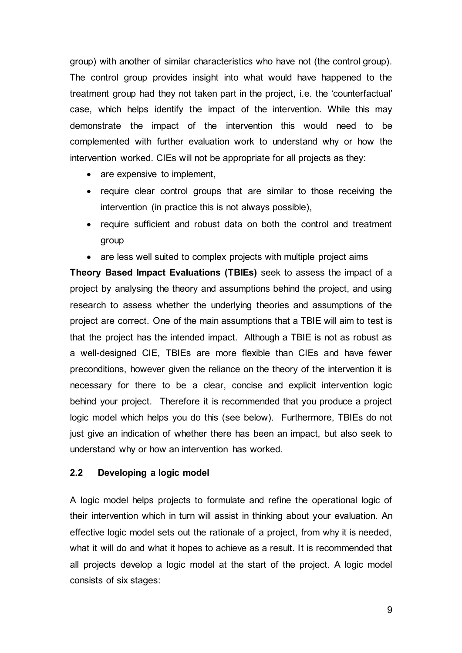group) with another of similar characteristics who have not (the control group). The control group provides insight into what would have happened to the treatment group had they not taken part in the project, i.e. the 'counterfactual' case, which helps identify the impact of the intervention. While this may demonstrate the impact of the intervention this would need to be complemented with further evaluation work to understand why or how the intervention worked. CIEs will not be appropriate for all projects as they:

- are expensive to implement,
- require clear control groups that are similar to those receiving the intervention (in practice this is not always possible),
- require sufficient and robust data on both the control and treatment group
- are less well suited to complex projects with multiple project aims

**Theory Based Impact Evaluations (TBIEs)** seek to assess the impact of a project by analysing the theory and assumptions behind the project, and using research to assess whether the underlying theories and assumptions of the project are correct. One of the main assumptions that a TBIE will aim to test is that the project has the intended impact. Although a TBIE is not as robust as a well-designed CIE, TBIEs are more flexible than CIEs and have fewer preconditions, however given the reliance on the theory of the intervention it is necessary for there to be a clear, concise and explicit intervention logic behind your project. Therefore it is recommended that you produce a project logic model which helps you do this (see below). Furthermore, TBIEs do not just give an indication of whether there has been an impact, but also seek to understand why or how an intervention has worked.

#### <span id="page-8-0"></span>**2.2 Developing a logic model**

A logic model helps projects to formulate and refine the operational logic of their intervention which in turn will assist in thinking about your evaluation. An effective logic model sets out the rationale of a project, from why it is needed, what it will do and what it hopes to achieve as a result. It is recommended that all projects develop a logic model at the start of the project. A logic model consists of six stages: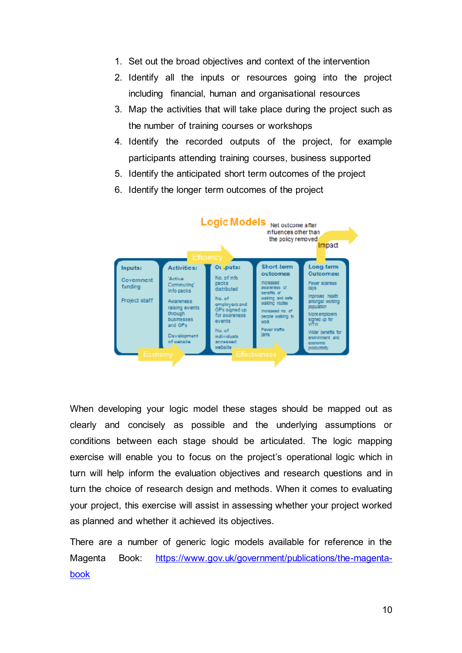- 1. Set out the broad objectives and context of the intervention
- 2. Identify all the inputs or resources going into the project including financial, human and organisational resources
- 3. Map the activities that will take place during the project such as the number of training courses or workshops
- 4. Identify the recorded outputs of the project, for example participants attending training courses, business supported
- 5. Identify the anticipated short term outcomes of the project
- 6. Identify the longer term outcomes of the project



When developing your logic model these stages should be mapped out as clearly and concisely as possible and the underlying assumptions or conditions between each stage should be articulated. The logic mapping exercise will enable you to focus on the project's operational logic which in turn will help inform the evaluation objectives and research questions and in turn the choice of research design and methods. When it comes to evaluating your project, this exercise will assist in assessing whether your project worked as planned and whether it achieved its objectives.

There are a number of generic logic models available for reference in the Magenta Book: [https://www.gov.uk/government/publications/the-magenta](https://www.gov.uk/government/publications/the-magenta-book)[book](https://www.gov.uk/government/publications/the-magenta-book)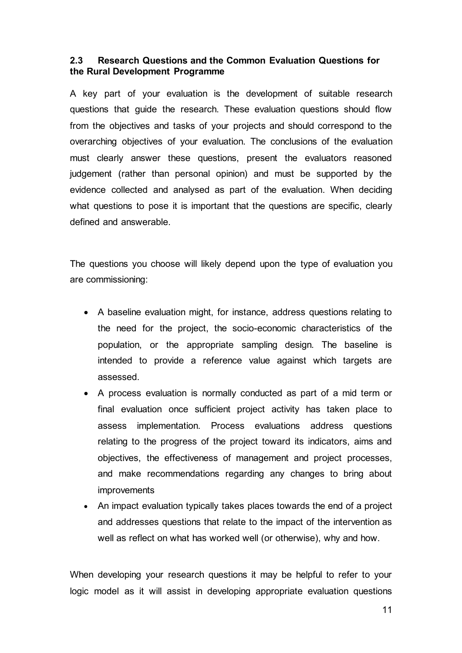#### <span id="page-10-0"></span>**2.3 Research Questions and the Common Evaluation Questions for the Rural Development Programme**

A key part of your evaluation is the development of suitable research questions that guide the research. These evaluation questions should flow from the objectives and tasks of your projects and should correspond to the overarching objectives of your evaluation. The conclusions of the evaluation must clearly answer these questions, present the evaluators reasoned judgement (rather than personal opinion) and must be supported by the evidence collected and analysed as part of the evaluation. When deciding what questions to pose it is important that the questions are specific, clearly defined and answerable.

The questions you choose will likely depend upon the type of evaluation you are commissioning:

- A baseline evaluation might, for instance, address questions relating to the need for the project, the socio-economic characteristics of the population, or the appropriate sampling design. The baseline is intended to provide a reference value against which targets are assessed.
- A process evaluation is normally conducted as part of a mid term or final evaluation once sufficient project activity has taken place to assess implementation. Process evaluations address questions relating to the progress of the project toward its indicators, aims and objectives, the effectiveness of management and project processes, and make recommendations regarding any changes to bring about improvements
- An impact evaluation typically takes places towards the end of a project and addresses questions that relate to the impact of the intervention as well as reflect on what has worked well (or otherwise), why and how.

When developing your research questions it may be helpful to refer to your logic model as it will assist in developing appropriate evaluation questions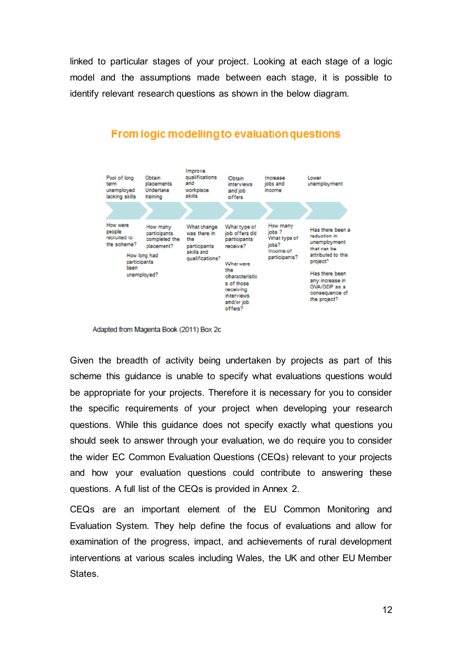linked to particular stages of your project. Looking at each stage of a logic model and the assumptions made between each stage, it is possible to identify relevant research questions as shown in the below diagram.



#### **From logic modelling to evaluation questions**

Adapted from Magenta Book (2011) Box 2c

Given the breadth of activity being undertaken by projects as part of this scheme this guidance is unable to specify what evaluations questions would be appropriate for your projects. Therefore it is necessary for you to consider the specific requirements of your project when developing your research questions. While this guidance does not specify exactly what questions you should seek to answer through your evaluation, we do require you to consider the wider EC Common Evaluation Questions (CEQs) relevant to your projects and how your evaluation questions could contribute to answering these questions. A full list of the CEQs is provided in Annex 2.

CEQs are an important element of the EU Common Monitoring and Evaluation System. They help define the focus of evaluations and allow for examination of the progress, impact, and achievements of rural development interventions at various scales including Wales, the UK and other EU Member States.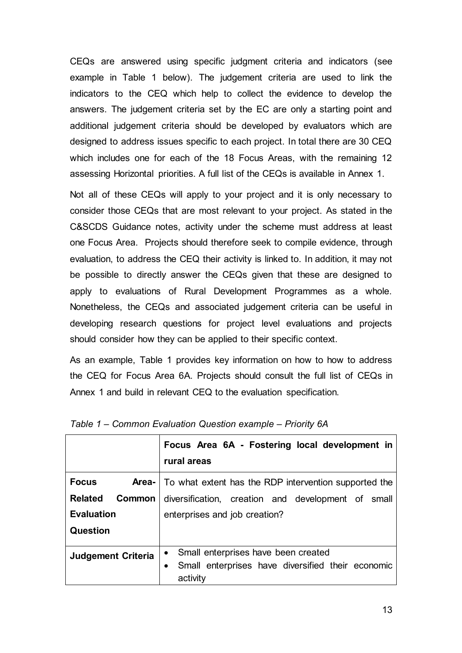CEQs are answered using specific judgment criteria and indicators (see example in Table 1 below). The judgement criteria are used to link the indicators to the CEQ which help to collect the evidence to develop the answers. The judgement criteria set by the EC are only a starting point and additional judgement criteria should be developed by evaluators which are designed to address issues specific to each project. In total there are 30 CEQ which includes one for each of the 18 Focus Areas, with the remaining 12 assessing Horizontal priorities. A full list of the CEQs is available in Annex 1.

Not all of these CEQs will apply to your project and it is only necessary to consider those CEQs that are most relevant to your project. As stated in the C&SCDS Guidance notes, activity under the scheme must address at least one Focus Area. Projects should therefore seek to compile evidence, through evaluation, to address the CEQ their activity is linked to. In addition, it may not be possible to directly answer the CEQs given that these are designed to apply to evaluations of Rural Development Programmes as a whole. Nonetheless, the CEQs and associated judgement criteria can be useful in developing research questions for project level evaluations and projects should consider how they can be applied to their specific context.

As an example, Table 1 provides key information on how to how to address the CEQ for Focus Area 6A. Projects should consult the full list of CEQs in Annex 1 and build in relevant CEQ to the evaluation specification.

|                                 | Focus Area 6A - Fostering local development in<br>rural areas        |
|---------------------------------|----------------------------------------------------------------------|
| <b>Focus</b>                    | <b>Area-</b>   To what extent has the RDP intervention supported the |
| <b>Related</b><br><b>Common</b> | diversification, creation and development of small                   |
| <b>Evaluation</b>               | enterprises and job creation?                                        |
| <b>Question</b>                 |                                                                      |
| <b>Judgement Criteria</b>       | Small enterprises have been created                                  |
|                                 | Small enterprises have diversified their economic<br>activity        |

|  |  | Table 1 – Common Evaluation Question example – Priority 6A |  |
|--|--|------------------------------------------------------------|--|
|--|--|------------------------------------------------------------|--|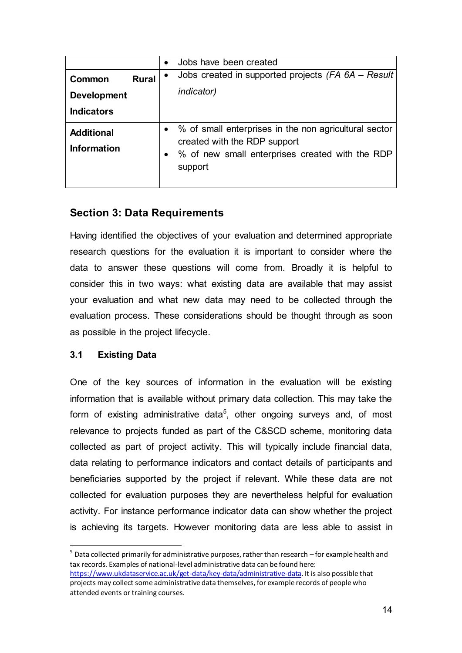|                                                                   | Jobs have been created                                                                                                                                |
|-------------------------------------------------------------------|-------------------------------------------------------------------------------------------------------------------------------------------------------|
| <b>Rural</b><br>Common<br><b>Development</b><br><b>Indicators</b> | Jobs created in supported projects (FA 6A – Result)<br><i>indicator</i> )                                                                             |
| <b>Additional</b><br><b>Information</b>                           | • % of small enterprises in the non agricultural sector<br>created with the RDP support<br>% of new small enterprises created with the RDP<br>support |

## <span id="page-13-0"></span>**Section 3: Data Requirements**

Having identified the objectives of your evaluation and determined appropriate research questions for the evaluation it is important to consider where the data to answer these questions will come from. Broadly it is helpful to consider this in two ways: what existing data are available that may assist your evaluation and what new data may need to be collected through the evaluation process. These considerations should be thought through as soon as possible in the project lifecycle.

#### <span id="page-13-1"></span>**3.1 Existing Data**

 $\overline{a}$ 

One of the key sources of information in the evaluation will be existing information that is available without primary data collection. This may take the form of existing administrative data<sup>5</sup>, other ongoing surveys and, of most relevance to projects funded as part of the C&SCD scheme, monitoring data collected as part of project activity. This will typically include financial data, data relating to performance indicators and contact details of participants and beneficiaries supported by the project if relevant. While these data are not collected for evaluation purposes they are nevertheless helpful for evaluation activity. For instance performance indicator data can show whether the project is achieving its targets. However monitoring data are less able to assist in

 $^5$  Data collected primarily for administrative purposes, rather than research – for example health and tax records. Examples of national-level administrative data can be found here: [https://www.ukdataservice.ac.uk/get-data/key-data/administrative-data.](https://www.ukdataservice.ac.uk/get-data/key-data/administrative-data) It is also possible that projects may collect some administrative data themselves, for example records of people who attended events or training courses.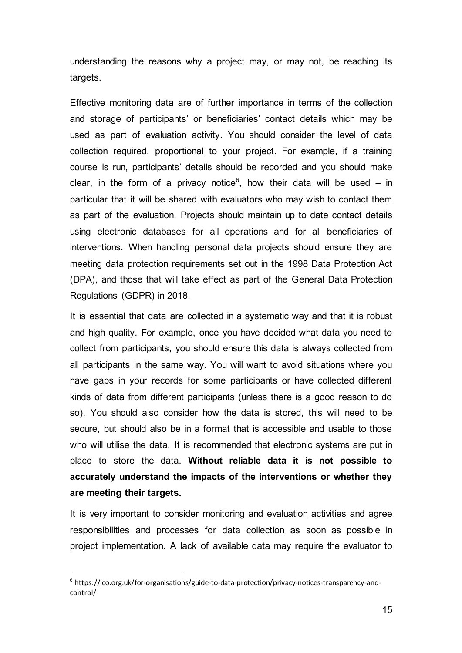understanding the reasons why a project may, or may not, be reaching its targets.

Effective monitoring data are of further importance in terms of the collection and storage of participants' or beneficiaries' contact details which may be used as part of evaluation activity. You should consider the level of data collection required, proportional to your project. For example, if a training course is run, participants' details should be recorded and you should make clear, in the form of a privacy notice<sup>6</sup>, how their data will be used  $-$  in particular that it will be shared with evaluators who may wish to contact them as part of the evaluation. Projects should maintain up to date contact details using electronic databases for all operations and for all beneficiaries of interventions. When handling personal data projects should ensure they are meeting data protection requirements set out in the 1998 Data Protection Act (DPA), and those that will take effect as part of the General Data Protection Regulations (GDPR) in 2018.

It is essential that data are collected in a systematic way and that it is robust and high quality. For example, once you have decided what data you need to collect from participants, you should ensure this data is always collected from all participants in the same way. You will want to avoid situations where you have gaps in your records for some participants or have collected different kinds of data from different participants (unless there is a good reason to do so). You should also consider how the data is stored, this will need to be secure, but should also be in a format that is accessible and usable to those who will utilise the data. It is recommended that electronic systems are put in place to store the data. **Without reliable data it is not possible to accurately understand the impacts of the interventions or whether they are meeting their targets.**

It is very important to consider monitoring and evaluation activities and agree responsibilities and processes for data collection as soon as possible in project implementation. A lack of available data may require the evaluator to

l

<sup>&</sup>lt;sup>6</sup> https://ico.org.uk/for-organisations/guide-to-data-protection/privacy-notices-transparency-andcontrol/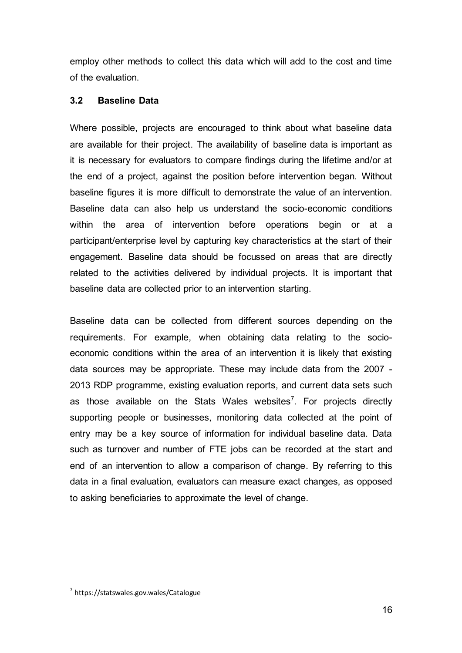employ other methods to collect this data which will add to the cost and time of the evaluation.

#### <span id="page-15-0"></span>**3.2 Baseline Data**

Where possible, projects are encouraged to think about what baseline data are available for their project. The availability of baseline data is important as it is necessary for evaluators to compare findings during the lifetime and/or at the end of a project, against the position before intervention began. Without baseline figures it is more difficult to demonstrate the value of an intervention. Baseline data can also help us understand the socio-economic conditions within the area of intervention before operations begin or at a participant/enterprise level by capturing key characteristics at the start of their engagement. Baseline data should be focussed on areas that are directly related to the activities delivered by individual projects. It is important that baseline data are collected prior to an intervention starting.

Baseline data can be collected from different sources depending on the requirements. For example, when obtaining data relating to the socioeconomic conditions within the area of an intervention it is likely that existing data sources may be appropriate. These may include data from the 2007 - 2013 RDP programme, existing evaluation reports, and current data sets such as those available on the Stats Wales websites<sup>7</sup>. For projects directly supporting people or businesses, monitoring data collected at the point of entry may be a key source of information for individual baseline data. Data such as turnover and number of FTE jobs can be recorded at the start and end of an intervention to allow a comparison of change. By referring to this data in a final evaluation, evaluators can measure exact changes, as opposed to asking beneficiaries to approximate the level of change.

 $\overline{a}$ 7 https://statswales.gov.wales/Catalogue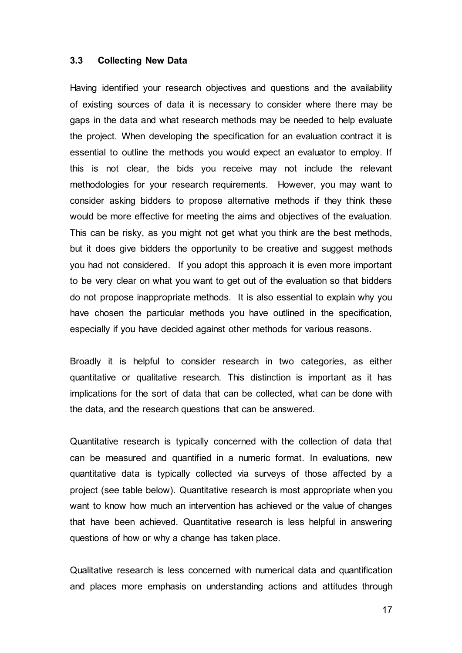#### <span id="page-16-0"></span>**3.3 Collecting New Data**

Having identified your research objectives and questions and the availability of existing sources of data it is necessary to consider where there may be gaps in the data and what research methods may be needed to help evaluate the project. When developing the specification for an evaluation contract it is essential to outline the methods you would expect an evaluator to employ. If this is not clear, the bids you receive may not include the relevant methodologies for your research requirements. However, you may want to consider asking bidders to propose alternative methods if they think these would be more effective for meeting the aims and objectives of the evaluation. This can be risky, as you might not get what you think are the best methods, but it does give bidders the opportunity to be creative and suggest methods you had not considered. If you adopt this approach it is even more important to be very clear on what you want to get out of the evaluation so that bidders do not propose inappropriate methods. It is also essential to explain why you have chosen the particular methods you have outlined in the specification, especially if you have decided against other methods for various reasons.

Broadly it is helpful to consider research in two categories, as either quantitative or qualitative research. This distinction is important as it has implications for the sort of data that can be collected, what can be done with the data, and the research questions that can be answered.

Quantitative research is typically concerned with the collection of data that can be measured and quantified in a numeric format. In evaluations, new quantitative data is typically collected via surveys of those affected by a project (see table below). Quantitative research is most appropriate when you want to know how much an intervention has achieved or the value of changes that have been achieved. Quantitative research is less helpful in answering questions of how or why a change has taken place.

Qualitative research is less concerned with numerical data and quantification and places more emphasis on understanding actions and attitudes through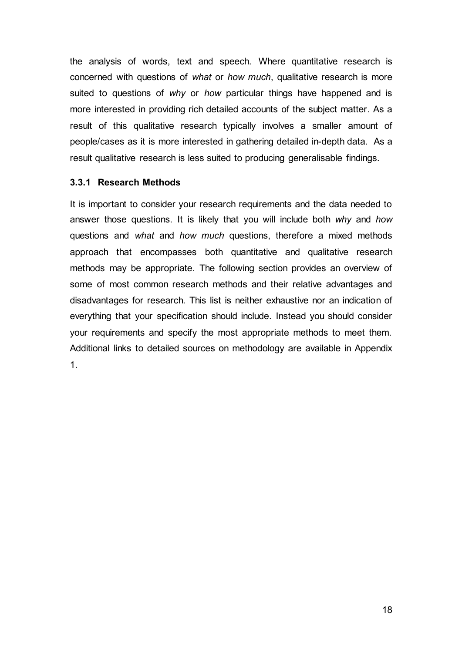the analysis of words, text and speech. Where quantitative research is concerned with questions of *what* or *how much*, qualitative research is more suited to questions of *why* or *how* particular things have happened and is more interested in providing rich detailed accounts of the subject matter. As a result of this qualitative research typically involves a smaller amount of people/cases as it is more interested in gathering detailed in-depth data. As a result qualitative research is less suited to producing generalisable findings.

#### **3.3.1 Research Methods**

It is important to consider your research requirements and the data needed to answer those questions. It is likely that you will include both *why* and *how* questions and *what* and *how much* questions, therefore a mixed methods approach that encompasses both quantitative and qualitative research methods may be appropriate. The following section provides an overview of some of most common research methods and their relative advantages and disadvantages for research. This list is neither exhaustive nor an indication of everything that your specification should include. Instead you should consider your requirements and specify the most appropriate methods to meet them. Additional links to detailed sources on methodology are available in Appendix 1.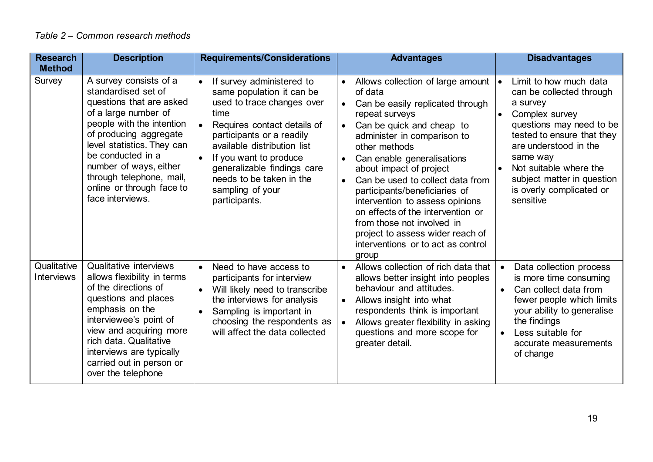| <b>Research</b><br><b>Method</b> | <b>Description</b>                                                                                                                                                                                                                                                                                                 | <b>Requirements/Considerations</b>                                                                                                                                                                                                                                                                                                          | <b>Advantages</b>                                                                                                                                                                                                                                                                                                                                                                                                                                                                                                                                          | <b>Disadvantages</b>                                                                                                                                                                                                                                                                                |
|----------------------------------|--------------------------------------------------------------------------------------------------------------------------------------------------------------------------------------------------------------------------------------------------------------------------------------------------------------------|---------------------------------------------------------------------------------------------------------------------------------------------------------------------------------------------------------------------------------------------------------------------------------------------------------------------------------------------|------------------------------------------------------------------------------------------------------------------------------------------------------------------------------------------------------------------------------------------------------------------------------------------------------------------------------------------------------------------------------------------------------------------------------------------------------------------------------------------------------------------------------------------------------------|-----------------------------------------------------------------------------------------------------------------------------------------------------------------------------------------------------------------------------------------------------------------------------------------------------|
| Survey                           | A survey consists of a<br>standardised set of<br>questions that are asked<br>of a large number of<br>people with the intention<br>of producing aggregate<br>level statistics. They can<br>be conducted in a<br>number of ways, either<br>through telephone, mail,<br>online or through face to<br>face interviews. | If survey administered to<br>$\bullet$<br>same population it can be<br>used to trace changes over<br>time<br>Requires contact details of<br>participants or a readily<br>available distribution list<br>If you want to produce<br>$\bullet$<br>generalizable findings care<br>needs to be taken in the<br>sampling of your<br>participants. | Allows collection of large amount<br>$\bullet$<br>of data<br>Can be easily replicated through<br>$\bullet$<br>repeat surveys<br>Can be quick and cheap to<br>$\bullet$<br>administer in comparison to<br>other methods<br>Can enable generalisations<br>$\bullet$<br>about impact of project<br>Can be used to collect data from<br>participants/beneficiaries of<br>intervention to assess opinions<br>on effects of the intervention or<br>from those not involved in<br>project to assess wider reach of<br>interventions or to act as control<br>group | Limit to how much data<br>۱۰<br>can be collected through<br>a survey<br>Complex survey<br>questions may need to be<br>tested to ensure that they<br>are understood in the<br>same way<br>Not suitable where the<br>$\bullet$<br>subject matter in question<br>is overly complicated or<br>sensitive |
| Qualitative<br>Interviews        | Qualitative interviews<br>allows flexibility in terms<br>of the directions of<br>questions and places<br>emphasis on the<br>interviewee's point of<br>view and acquiring more<br>rich data. Qualitative<br>interviews are typically<br>carried out in person or<br>over the telephone                              | Need to have access to<br>$\bullet$<br>participants for interview<br>Will likely need to transcribe<br>$\bullet$<br>the interviews for analysis<br>Sampling is important in<br>$\bullet$<br>choosing the respondents as<br>will affect the data collected                                                                                   | Allows collection of rich data that<br>$\bullet$<br>allows better insight into peoples<br>behaviour and attitudes.<br>Allows insight into what<br>$\bullet$<br>respondents think is important<br>Allows greater flexibility in asking<br>questions and more scope for<br>greater detail.                                                                                                                                                                                                                                                                   | Data collection process<br>is more time consuming<br>Can collect data from<br>fewer people which limits<br>your ability to generalise<br>the findings<br>Less suitable for<br>$\bullet$<br>accurate measurements<br>of change                                                                       |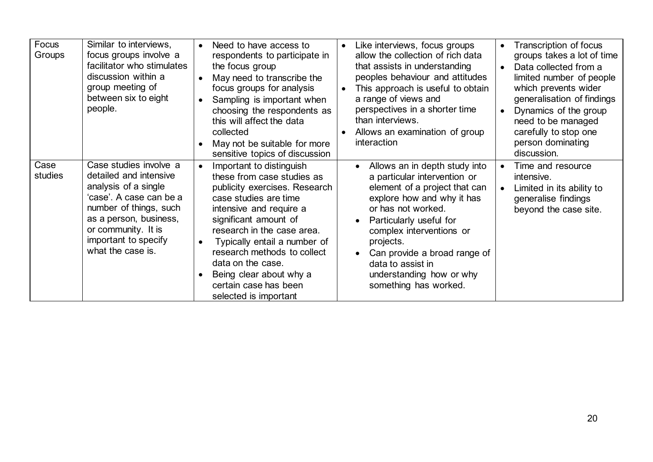| Focus<br>Groups | Similar to interviews,<br>focus groups involve a<br>facilitator who stimulates<br>discussion within a<br>group meeting of<br>between six to eight<br>people.                                                                | $\bullet$<br>$\bullet$<br>$\bullet$<br>$\bullet$ | Need to have access to<br>respondents to participate in<br>the focus group<br>May need to transcribe the<br>focus groups for analysis<br>Sampling is important when<br>choosing the respondents as<br>this will affect the data<br>collected<br>May not be suitable for more<br>sensitive topics of discussion                                                      | $\bullet$<br>$\bullet$ | Like interviews, focus groups<br>allow the collection of rich data<br>that assists in understanding<br>peoples behaviour and attitudes<br>This approach is useful to obtain<br>a range of views and<br>perspectives in a shorter time<br>than interviews.<br>Allows an examination of group<br>interaction                                    | $\bullet$<br>$\bullet$ | Transcription of focus<br>groups takes a lot of time<br>Data collected from a<br>limited number of people<br>which prevents wider<br>generalisation of findings<br>Dynamics of the group<br>need to be managed<br>carefully to stop one<br>person dominating<br>discussion. |
|-----------------|-----------------------------------------------------------------------------------------------------------------------------------------------------------------------------------------------------------------------------|--------------------------------------------------|---------------------------------------------------------------------------------------------------------------------------------------------------------------------------------------------------------------------------------------------------------------------------------------------------------------------------------------------------------------------|------------------------|-----------------------------------------------------------------------------------------------------------------------------------------------------------------------------------------------------------------------------------------------------------------------------------------------------------------------------------------------|------------------------|-----------------------------------------------------------------------------------------------------------------------------------------------------------------------------------------------------------------------------------------------------------------------------|
| Case<br>studies | Case studies involve a<br>detailed and intensive<br>analysis of a single<br>'case'. A case can be a<br>number of things, such<br>as a person, business,<br>or community. It is<br>important to specify<br>what the case is. | $\bullet$<br>$\bullet$<br>$\bullet$              | Important to distinguish<br>these from case studies as<br>publicity exercises. Research<br>case studies are time<br>intensive and require a<br>significant amount of<br>research in the case area.<br>Typically entail a number of<br>research methods to collect<br>data on the case.<br>Being clear about why a<br>certain case has been<br>selected is important |                        | Allows an in depth study into<br>$\bullet$<br>a particular intervention or<br>element of a project that can<br>explore how and why it has<br>or has not worked.<br>Particularly useful for<br>complex interventions or<br>projects.<br>Can provide a broad range of<br>data to assist in<br>understanding how or why<br>something has worked. | $\bullet$<br>$\bullet$ | Time and resource<br>intensive.<br>Limited in its ability to<br>generalise findings<br>beyond the case site.                                                                                                                                                                |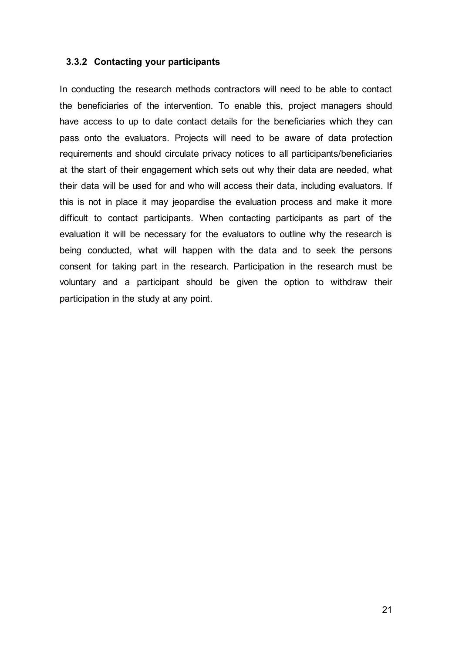#### <span id="page-20-0"></span>**3.3.2 Contacting your participants**

In conducting the research methods contractors will need to be able to contact the beneficiaries of the intervention. To enable this, project managers should have access to up to date contact details for the beneficiaries which they can pass onto the evaluators. Projects will need to be aware of data protection requirements and should circulate privacy notices to all participants/beneficiaries at the start of their engagement which sets out why their data are needed, what their data will be used for and who will access their data, including evaluators. If this is not in place it may jeopardise the evaluation process and make it more difficult to contact participants. When contacting participants as part of the evaluation it will be necessary for the evaluators to outline why the research is being conducted, what will happen with the data and to seek the persons consent for taking part in the research. Participation in the research must be voluntary and a participant should be given the option to withdraw their participation in the study at any point.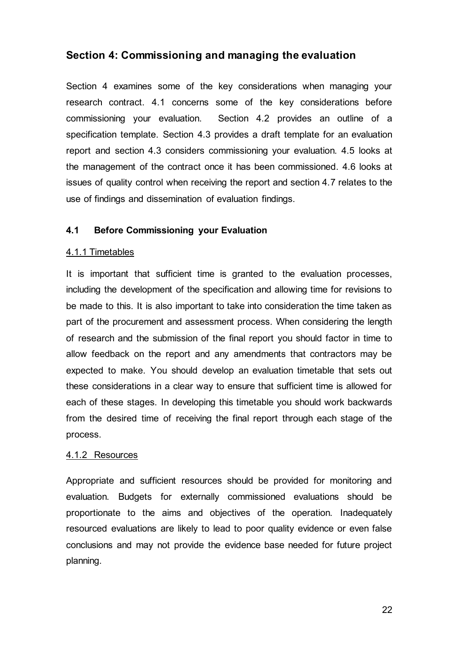## <span id="page-21-0"></span>**Section 4: Commissioning and managing the evaluation**

Section 4 examines some of the key considerations when managing your research contract. 4.1 concerns some of the key considerations before commissioning your evaluation. Section 4.2 provides an outline of a specification template. Section 4.3 provides a draft template for an evaluation report and section 4.3 considers commissioning your evaluation. 4.5 looks at the management of the contract once it has been commissioned. 4.6 looks at issues of quality control when receiving the report and section 4.7 relates to the use of findings and dissemination of evaluation findings.

#### <span id="page-21-1"></span>**4.1 Before Commissioning your Evaluation**

#### 4.1.1 Timetables

It is important that sufficient time is granted to the evaluation processes, including the development of the specification and allowing time for revisions to be made to this. It is also important to take into consideration the time taken as part of the procurement and assessment process. When considering the length of research and the submission of the final report you should factor in time to allow feedback on the report and any amendments that contractors may be expected to make. You should develop an evaluation timetable that sets out these considerations in a clear way to ensure that sufficient time is allowed for each of these stages. In developing this timetable you should work backwards from the desired time of receiving the final report through each stage of the process.

#### 4.1.2 Resources

Appropriate and sufficient resources should be provided for monitoring and evaluation. Budgets for externally commissioned evaluations should be proportionate to the aims and objectives of the operation. Inadequately resourced evaluations are likely to lead to poor quality evidence or even false conclusions and may not provide the evidence base needed for future project planning.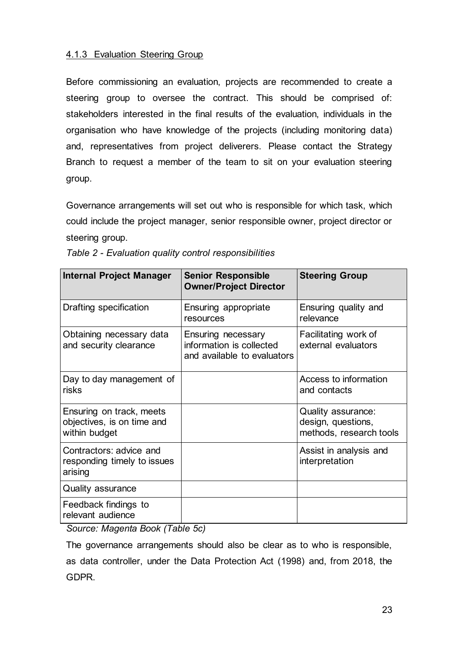#### 4.1.3 Evaluation Steering Group

Before commissioning an evaluation, projects are recommended to create a steering group to oversee the contract. This should be comprised of: stakeholders interested in the final results of the evaluation, individuals in the organisation who have knowledge of the projects (including monitoring data) and, representatives from project deliverers. Please contact the Strategy Branch to request a member of the team to sit on your evaluation steering group.

Governance arrangements will set out who is responsible for which task, which could include the project manager, senior responsible owner, project director or steering group.

| <b>Internal Project Manager</b>                                         | <b>Senior Responsible</b><br><b>Owner/Project Director</b>                    | <b>Steering Group</b>                                               |
|-------------------------------------------------------------------------|-------------------------------------------------------------------------------|---------------------------------------------------------------------|
| Drafting specification                                                  | Ensuring appropriate<br>resources                                             | Ensuring quality and<br>relevance                                   |
| Obtaining necessary data<br>and security clearance                      | Ensuring necessary<br>information is collected<br>and available to evaluators | Facilitating work of<br>external evaluators                         |
| Day to day management of<br>risks                                       |                                                                               | Access to information<br>and contacts                               |
| Ensuring on track, meets<br>objectives, is on time and<br>within budget |                                                                               | Quality assurance:<br>design, questions,<br>methods, research tools |
| Contractors: advice and<br>responding timely to issues<br>arising       |                                                                               | Assist in analysis and<br>interpretation                            |
| <b>Quality assurance</b>                                                |                                                                               |                                                                     |
| Feedback findings to<br>relevant audience                               |                                                                               |                                                                     |

*Table 2 - Evaluation quality control responsibilities*

*Source: Magenta Book (Table 5c)*

The governance arrangements should also be clear as to who is responsible, as data controller, under the Data Protection Act (1998) and, from 2018, the GDPR.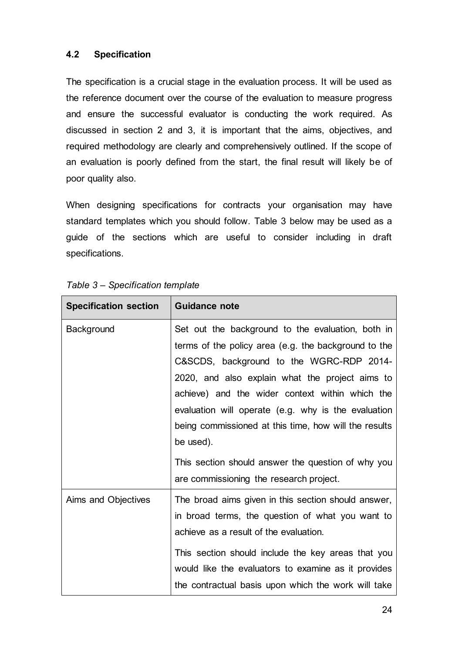#### <span id="page-23-0"></span>**4.2 Specification**

The specification is a crucial stage in the evaluation process. It will be used as the reference document over the course of the evaluation to measure progress and ensure the successful evaluator is conducting the work required. As discussed in section 2 and 3, it is important that the aims, objectives, and required methodology are clearly and comprehensively outlined. If the scope of an evaluation is poorly defined from the start, the final result will likely be of poor quality also.

When designing specifications for contracts your organisation may have standard templates which you should follow. Table 3 below may be used as a guide of the sections which are useful to consider including in draft specifications.

| <b>Specification section</b> | <b>Guidance note</b>                                                                                                                                                                                                                                                                                                                                                                                                                                                                      |
|------------------------------|-------------------------------------------------------------------------------------------------------------------------------------------------------------------------------------------------------------------------------------------------------------------------------------------------------------------------------------------------------------------------------------------------------------------------------------------------------------------------------------------|
| <b>Background</b>            | Set out the background to the evaluation, both in<br>terms of the policy area (e.g. the background to the<br>C&SCDS, background to the WGRC-RDP 2014-<br>2020, and also explain what the project aims to<br>achieve) and the wider context within which the<br>evaluation will operate (e.g. why is the evaluation<br>being commissioned at this time, how will the results<br>be used).<br>This section should answer the question of why you<br>are commissioning the research project. |
| Aims and Objectives          | The broad aims given in this section should answer,<br>in broad terms, the question of what you want to<br>achieve as a result of the evaluation.<br>This section should include the key areas that you<br>would like the evaluators to examine as it provides<br>the contractual basis upon which the work will take                                                                                                                                                                     |

#### *Table 3 – Specification template*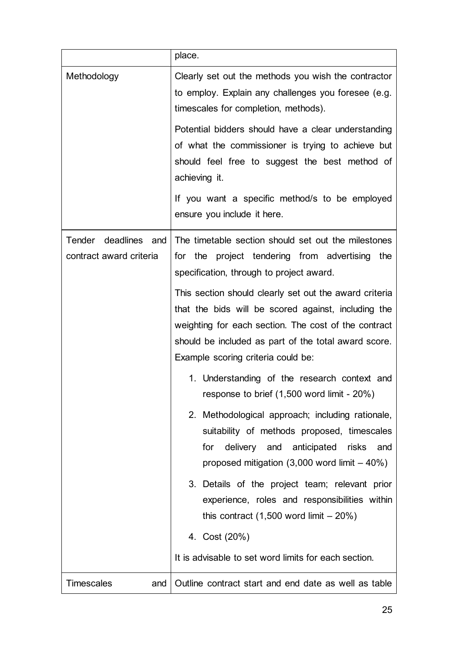|                                                 | place.                                                                                                                                                                                                                                                              |  |  |
|-------------------------------------------------|---------------------------------------------------------------------------------------------------------------------------------------------------------------------------------------------------------------------------------------------------------------------|--|--|
| Methodology                                     | Clearly set out the methods you wish the contractor<br>to employ. Explain any challenges you foresee (e.g.<br>timescales for completion, methods).<br>Potential bidders should have a clear understanding                                                           |  |  |
|                                                 | of what the commissioner is trying to achieve but<br>should feel free to suggest the best method of<br>achieving it.                                                                                                                                                |  |  |
|                                                 | If you want a specific method/s to be employed<br>ensure you include it here.                                                                                                                                                                                       |  |  |
| Tender deadlines and<br>contract award criteria | The timetable section should set out the milestones<br>for the project tendering from advertising<br>the<br>specification, through to project award.                                                                                                                |  |  |
|                                                 | This section should clearly set out the award criteria<br>that the bids will be scored against, including the<br>weighting for each section. The cost of the contract<br>should be included as part of the total award score.<br>Example scoring criteria could be: |  |  |
|                                                 | 1. Understanding of the research context and<br>response to brief (1,500 word limit - 20%)                                                                                                                                                                          |  |  |
|                                                 | 2. Methodological approach; including rationale,<br>suitability of methods proposed, timescales<br>delivery and anticipated<br>for<br>risks<br>and<br>proposed mitigation $(3,000$ word limit $-40\%)$                                                              |  |  |
|                                                 | 3. Details of the project team; relevant prior<br>experience, roles and responsibilities within<br>this contract $(1,500$ word limit $-20\%)$                                                                                                                       |  |  |
|                                                 | 4. Cost (20%)<br>It is advisable to set word limits for each section.                                                                                                                                                                                               |  |  |
|                                                 |                                                                                                                                                                                                                                                                     |  |  |
| <b>Timescales</b><br>and                        | Outline contract start and end date as well as table                                                                                                                                                                                                                |  |  |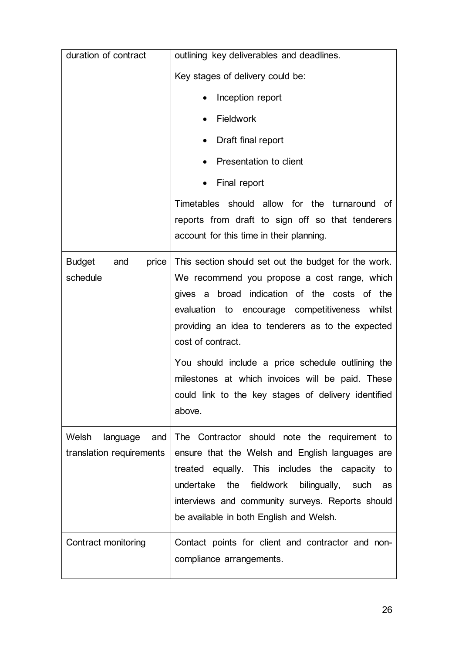| duration of contract                                 | outlining key deliverables and deadlines.                                                                                                                                                                                                                                                                                                                                                                                                                  |  |  |
|------------------------------------------------------|------------------------------------------------------------------------------------------------------------------------------------------------------------------------------------------------------------------------------------------------------------------------------------------------------------------------------------------------------------------------------------------------------------------------------------------------------------|--|--|
|                                                      | Key stages of delivery could be:                                                                                                                                                                                                                                                                                                                                                                                                                           |  |  |
|                                                      | Inception report                                                                                                                                                                                                                                                                                                                                                                                                                                           |  |  |
|                                                      | Fieldwork                                                                                                                                                                                                                                                                                                                                                                                                                                                  |  |  |
|                                                      | Draft final report                                                                                                                                                                                                                                                                                                                                                                                                                                         |  |  |
|                                                      | Presentation to client                                                                                                                                                                                                                                                                                                                                                                                                                                     |  |  |
|                                                      | Final report                                                                                                                                                                                                                                                                                                                                                                                                                                               |  |  |
|                                                      | Timetables should allow for the turnaround of<br>reports from draft to sign off so that tenderers<br>account for this time in their planning.                                                                                                                                                                                                                                                                                                              |  |  |
| <b>Budget</b><br>price<br>and<br>schedule            | This section should set out the budget for the work.<br>We recommend you propose a cost range, which<br>gives a broad indication of the costs of the<br>evaluation to encourage competitiveness whilst<br>providing an idea to tenderers as to the expected<br>cost of contract.<br>You should include a price schedule outlining the<br>milestones at which invoices will be paid. These<br>could link to the key stages of delivery identified<br>above. |  |  |
| Welsh<br>language<br>and<br>translation requirements | The Contractor should note the requirement to<br>ensure that the Welsh and English languages are<br>treated equally. This includes the capacity to<br>undertake the<br>fieldwork bilingually, such<br>as<br>interviews and community surveys. Reports should<br>be available in both English and Welsh.                                                                                                                                                    |  |  |
| Contract monitoring                                  | Contact points for client and contractor and non-<br>compliance arrangements.                                                                                                                                                                                                                                                                                                                                                                              |  |  |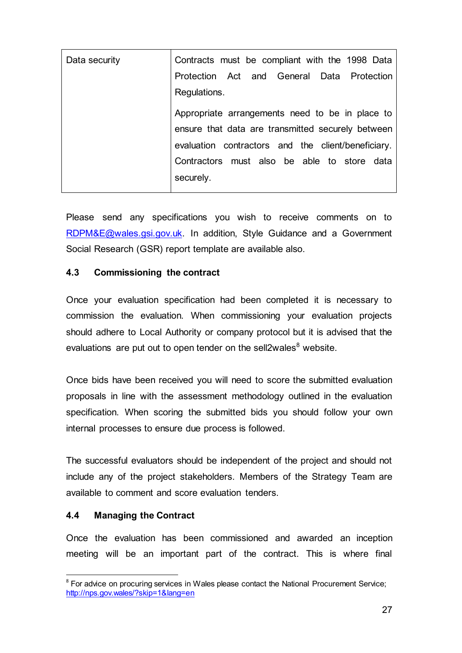| Data security | Contracts must be compliant with the 1998 Data     |
|---------------|----------------------------------------------------|
|               | Protection Act and General Data Protection         |
|               | Regulations.                                       |
|               | Appropriate arrangements need to be in place to    |
|               | ensure that data are transmitted securely between  |
|               | evaluation contractors and the client/beneficiary. |
|               | Contractors must also be able to store data        |
|               | securely.                                          |
|               |                                                    |

Please send any specifications you wish to receive comments on to [RDPM&E@wales.gsi.gov.uk.](mailto:RDPM&E@wales.gsi.gov.uk) In addition, Style Guidance and a Government Social Research (GSR) report template are available also.

#### <span id="page-26-0"></span>**4.3 Commissioning the contract**

Once your evaluation specification had been completed it is necessary to commission the evaluation. When commissioning your evaluation projects should adhere to Local Authority or company protocol but it is advised that the evaluations are put out to open tender on the sell2wales $8$  website.

Once bids have been received you will need to score the submitted evaluation proposals in line with the assessment methodology outlined in the evaluation specification. When scoring the submitted bids you should follow your own internal processes to ensure due process is followed.

The successful evaluators should be independent of the project and should not include any of the project stakeholders. Members of the Strategy Team are available to comment and score evaluation tenders.

#### <span id="page-26-1"></span>**4.4 Managing the Contract**

Once the evaluation has been commissioned and awarded an inception meeting will be an important part of the contract. This is where final

l <sup>8</sup> For advice on procuring services in Wales please contact the National Procurement Service; <http://nps.gov.wales/?skip=1&lang=en>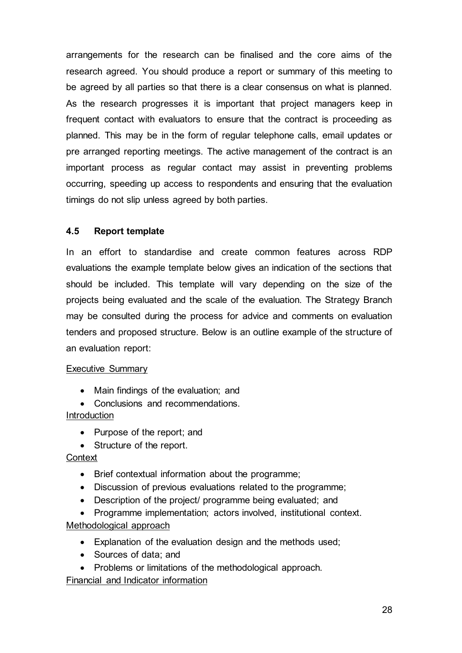arrangements for the research can be finalised and the core aims of the research agreed. You should produce a report or summary of this meeting to be agreed by all parties so that there is a clear consensus on what is planned. As the research progresses it is important that project managers keep in frequent contact with evaluators to ensure that the contract is proceeding as planned. This may be in the form of regular telephone calls, email updates or pre arranged reporting meetings. The active management of the contract is an important process as regular contact may assist in preventing problems occurring, speeding up access to respondents and ensuring that the evaluation timings do not slip unless agreed by both parties.

#### <span id="page-27-0"></span>**4.5 Report template**

In an effort to standardise and create common features across RDP evaluations the example template below gives an indication of the sections that should be included. This template will vary depending on the size of the projects being evaluated and the scale of the evaluation. The Strategy Branch may be consulted during the process for advice and comments on evaluation tenders and proposed structure. Below is an outline example of the structure of an evaluation report:

#### Executive Summary

- Main findings of the evaluation; and
- Conclusions and recommendations.

#### **Introduction**

- Purpose of the report; and
- Structure of the report.

#### **Context**

- Brief contextual information about the programme;
- Discussion of previous evaluations related to the programme;
- Description of the project/ programme being evaluated; and
- Programme implementation; actors involved, institutional context. Methodological approach
	- Explanation of the evaluation design and the methods used;
	- Sources of data; and
	- Problems or limitations of the methodological approach.

Financial and Indicator information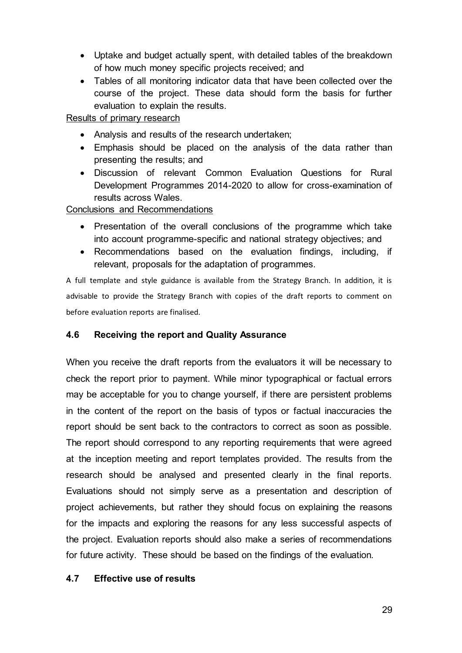- Uptake and budget actually spent, with detailed tables of the breakdown of how much money specific projects received; and
- Tables of all monitoring indicator data that have been collected over the course of the project. These data should form the basis for further evaluation to explain the results.

Results of primary research

- Analysis and results of the research undertaken;
- Emphasis should be placed on the analysis of the data rather than presenting the results; and
- Discussion of relevant Common Evaluation Questions for Rural Development Programmes 2014-2020 to allow for cross-examination of results across Wales.

Conclusions and Recommendations

- Presentation of the overall conclusions of the programme which take into account programme-specific and national strategy objectives; and
- Recommendations based on the evaluation findings, including, if relevant, proposals for the adaptation of programmes.

A full template and style guidance is available from the Strategy Branch. In addition, it is advisable to provide the Strategy Branch with copies of the draft reports to comment on before evaluation reports are finalised.

#### <span id="page-28-0"></span>**4.6 Receiving the report and Quality Assurance**

When you receive the draft reports from the evaluators it will be necessary to check the report prior to payment. While minor typographical or factual errors may be acceptable for you to change yourself, if there are persistent problems in the content of the report on the basis of typos or factual inaccuracies the report should be sent back to the contractors to correct as soon as possible. The report should correspond to any reporting requirements that were agreed at the inception meeting and report templates provided. The results from the research should be analysed and presented clearly in the final reports. Evaluations should not simply serve as a presentation and description of project achievements, but rather they should focus on explaining the reasons for the impacts and exploring the reasons for any less successful aspects of the project. Evaluation reports should also make a series of recommendations for future activity. These should be based on the findings of the evaluation.

#### <span id="page-28-1"></span>**4.7 Effective use of results**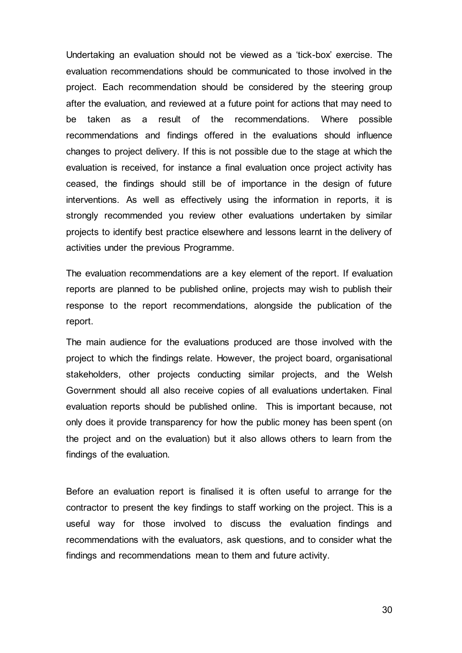Undertaking an evaluation should not be viewed as a 'tick-box' exercise. The evaluation recommendations should be communicated to those involved in the project. Each recommendation should be considered by the steering group after the evaluation, and reviewed at a future point for actions that may need to be taken as a result of the recommendations. Where possible recommendations and findings offered in the evaluations should influence changes to project delivery. If this is not possible due to the stage at which the evaluation is received, for instance a final evaluation once project activity has ceased, the findings should still be of importance in the design of future interventions. As well as effectively using the information in reports, it is strongly recommended you review other evaluations undertaken by similar projects to identify best practice elsewhere and lessons learnt in the delivery of activities under the previous Programme.

The evaluation recommendations are a key element of the report. If evaluation reports are planned to be published online, projects may wish to publish their response to the report recommendations, alongside the publication of the report.

The main audience for the evaluations produced are those involved with the project to which the findings relate. However, the project board, organisational stakeholders, other projects conducting similar projects, and the Welsh Government should all also receive copies of all evaluations undertaken. Final evaluation reports should be published online. This is important because, not only does it provide transparency for how the public money has been spent (on the project and on the evaluation) but it also allows others to learn from the findings of the evaluation.

Before an evaluation report is finalised it is often useful to arrange for the contractor to present the key findings to staff working on the project. This is a useful way for those involved to discuss the evaluation findings and recommendations with the evaluators, ask questions, and to consider what the findings and recommendations mean to them and future activity.

30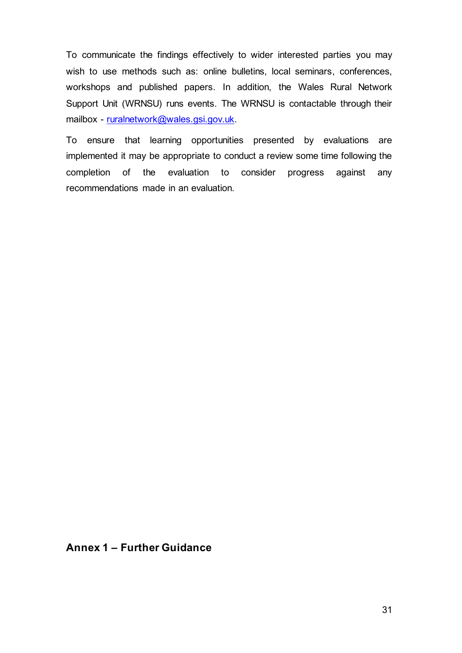To communicate the findings effectively to wider interested parties you may wish to use methods such as: online bulletins, local seminars, conferences, workshops and published papers. In addition, the Wales Rural Network Support Unit (WRNSU) runs events. The WRNSU is contactable through their mailbox - [ruralnetwork@wales.gsi.gov.uk.](mailto:ruralnetwork@wales.gsi.gov.uk)

To ensure that learning opportunities presented by evaluations are implemented it may be appropriate to conduct a review some time following the completion of the evaluation to consider progress against any recommendations made in an evaluation.

#### **Annex 1 – Further Guidance**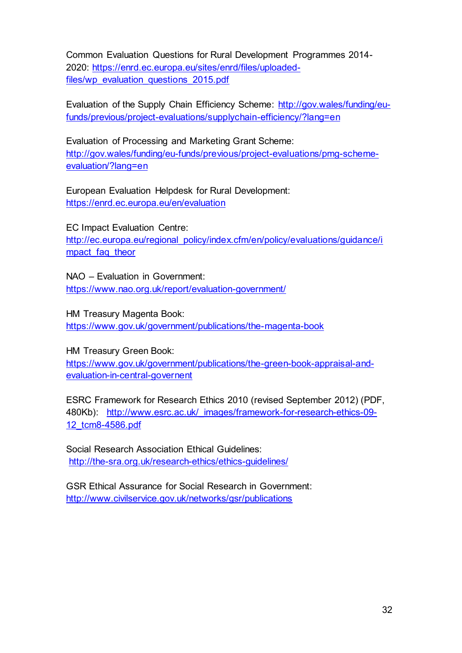Common Evaluation Questions for Rural Development Programmes 2014- 2020: [https://enrd.ec.europa.eu/sites/enrd/files/uploaded](https://enrd.ec.europa.eu/sites/enrd/files/uploaded-files/wp_evaluation_questions_2015.pdf)[files/wp\\_evaluation\\_questions\\_2015.pdf](https://enrd.ec.europa.eu/sites/enrd/files/uploaded-files/wp_evaluation_questions_2015.pdf)

Evaluation of the Supply Chain Efficiency Scheme: [http://gov.wales/funding/eu](http://gov.wales/funding/eu-funds/previous/project-evaluations/supplychain-efficiency/?lang=en)[funds/previous/project-evaluations/supplychain-efficiency/?lang=en](http://gov.wales/funding/eu-funds/previous/project-evaluations/supplychain-efficiency/?lang=en)

Evaluation of Processing and Marketing Grant Scheme: [http://gov.wales/funding/eu-funds/previous/project-evaluations/pmg-scheme](http://gov.wales/funding/eu-funds/previous/project-evaluations/pmg-scheme-evaluation/?lang=en)[evaluation/?lang=en](http://gov.wales/funding/eu-funds/previous/project-evaluations/pmg-scheme-evaluation/?lang=en)

European Evaluation Helpdesk for Rural Development: <https://enrd.ec.europa.eu/en/evaluation>

EC Impact Evaluation Centre: [http://ec.europa.eu/regional\\_policy/index.cfm/en/policy/evaluations/guidance/i](http://ec.europa.eu/regional_policy/index.cfm/en/policy/evaluations/guidance/impact_faq_theor) mpact faq theor

NAO – Evaluation in Government: <https://www.nao.org.uk/report/evaluation-government/>

HM Treasury Magenta Book: <https://www.gov.uk/government/publications/the-magenta-book>

HM Treasury Green Book: [https://www.gov.uk/government/publications/the-green-book-appraisal-and](https://www.gov.uk/government/publications/the-green-book-appraisal-and-evaluation-in-central-governent)[evaluation-in-central-governent](https://www.gov.uk/government/publications/the-green-book-appraisal-and-evaluation-in-central-governent)

ESRC Framework for Research Ethics 2010 (revised September 2012) (PDF, 480Kb): [http://www.esrc.ac.uk/\\_images/framework-for-research-ethics-09-](http://www.esrc.ac.uk/_images/framework-for-research-ethics-09-12_tcm8-4586.pdf) [12\\_tcm8-4586.pdf](http://www.esrc.ac.uk/_images/framework-for-research-ethics-09-12_tcm8-4586.pdf)

Social Research Association Ethical Guidelines: <http://the-sra.org.uk/research-ethics/ethics-guidelines/>

GSR Ethical Assurance for Social Research in Government: <http://www.civilservice.gov.uk/networks/gsr/publications>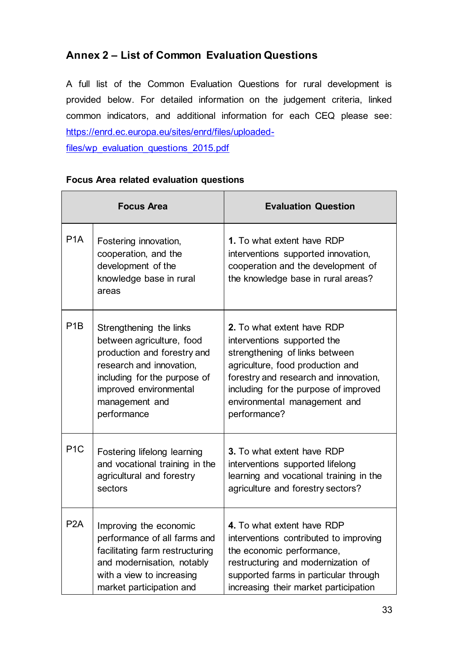## **Annex 2 – List of Common Evaluation Questions**

A full list of the Common Evaluation Questions for rural development is provided below. For detailed information on the judgement criteria, linked common indicators, and additional information for each CEQ please see: [https://enrd.ec.europa.eu/sites/enrd/files/uploaded](https://enrd.ec.europa.eu/sites/enrd/files/uploaded-files/wp_evaluation_questions_2015.pdf)[files/wp\\_evaluation\\_questions\\_2015.pdf](https://enrd.ec.europa.eu/sites/enrd/files/uploaded-files/wp_evaluation_questions_2015.pdf)

|                  | <b>Focus Area</b>                                                                                                                                                                                          | <b>Evaluation Question</b>                                                                                                                                                                                                                                        |  |
|------------------|------------------------------------------------------------------------------------------------------------------------------------------------------------------------------------------------------------|-------------------------------------------------------------------------------------------------------------------------------------------------------------------------------------------------------------------------------------------------------------------|--|
| P <sub>1</sub> A | Fostering innovation,<br>cooperation, and the<br>development of the<br>knowledge base in rural<br>areas                                                                                                    | 1. To what extent have RDP<br>interventions supported innovation,<br>cooperation and the development of<br>the knowledge base in rural areas?                                                                                                                     |  |
| P <sub>1</sub> B | Strengthening the links<br>between agriculture, food<br>production and forestry and<br>research and innovation,<br>including for the purpose of<br>improved environmental<br>management and<br>performance | 2. To what extent have RDP<br>interventions supported the<br>strengthening of links between<br>agriculture, food production and<br>forestry and research and innovation,<br>including for the purpose of improved<br>environmental management and<br>performance? |  |
| P <sub>1</sub> C | Fostering lifelong learning<br>and vocational training in the<br>agricultural and forestry<br>sectors                                                                                                      | 3. To what extent have RDP<br>interventions supported lifelong<br>learning and vocational training in the<br>agriculture and forestry sectors?                                                                                                                    |  |
| P <sub>2</sub> A | Improving the economic<br>performance of all farms and<br>facilitating farm restructuring<br>and modernisation, notably<br>with a view to increasing<br>market participation and                           | 4. To what extent have RDP<br>interventions contributed to improving<br>the economic performance,<br>restructuring and modernization of<br>supported farms in particular through<br>increasing their market participation                                         |  |

#### **Focus Area related evaluation questions**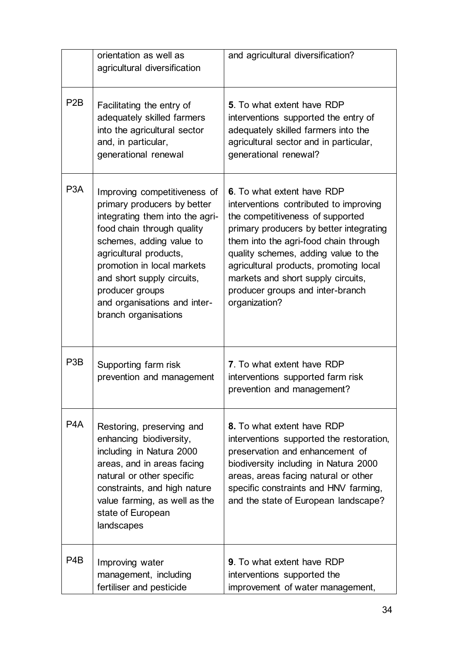|                  | orientation as well as<br>agricultural diversification                                                                                                                                                                                                                                                                    | and agricultural diversification?                                                                                                                                                                                                                                                                                                                                         |
|------------------|---------------------------------------------------------------------------------------------------------------------------------------------------------------------------------------------------------------------------------------------------------------------------------------------------------------------------|---------------------------------------------------------------------------------------------------------------------------------------------------------------------------------------------------------------------------------------------------------------------------------------------------------------------------------------------------------------------------|
| P <sub>2</sub> B | Facilitating the entry of<br>adequately skilled farmers<br>into the agricultural sector<br>and, in particular,<br>generational renewal                                                                                                                                                                                    | 5. To what extent have RDP<br>interventions supported the entry of<br>adequately skilled farmers into the<br>agricultural sector and in particular,<br>generational renewal?                                                                                                                                                                                              |
| P <sub>3</sub> A | Improving competitiveness of<br>primary producers by better<br>integrating them into the agri-<br>food chain through quality<br>schemes, adding value to<br>agricultural products,<br>promotion in local markets<br>and short supply circuits,<br>producer groups<br>and organisations and inter-<br>branch organisations | 6. To what extent have RDP<br>interventions contributed to improving<br>the competitiveness of supported<br>primary producers by better integrating<br>them into the agri-food chain through<br>quality schemes, adding value to the<br>agricultural products, promoting local<br>markets and short supply circuits,<br>producer groups and inter-branch<br>organization? |
| P <sub>3</sub> B | Supporting farm risk<br>prevention and management                                                                                                                                                                                                                                                                         | 7. To what extent have RDP<br>interventions supported farm risk<br>prevention and management?                                                                                                                                                                                                                                                                             |
| P4A              | Restoring, preserving and<br>enhancing biodiversity,<br>including in Natura 2000<br>areas, and in areas facing<br>natural or other specific<br>constraints, and high nature<br>value farming, as well as the<br>state of European<br>landscapes                                                                           | 8. To what extent have RDP<br>interventions supported the restoration,<br>preservation and enhancement of<br>biodiversity including in Natura 2000<br>areas, areas facing natural or other<br>specific constraints and HNV farming,<br>and the state of European landscape?                                                                                               |
| P4B              | Improving water<br>management, including<br>fertiliser and pesticide                                                                                                                                                                                                                                                      | <b>9.</b> To what extent have RDP<br>interventions supported the<br>improvement of water management,                                                                                                                                                                                                                                                                      |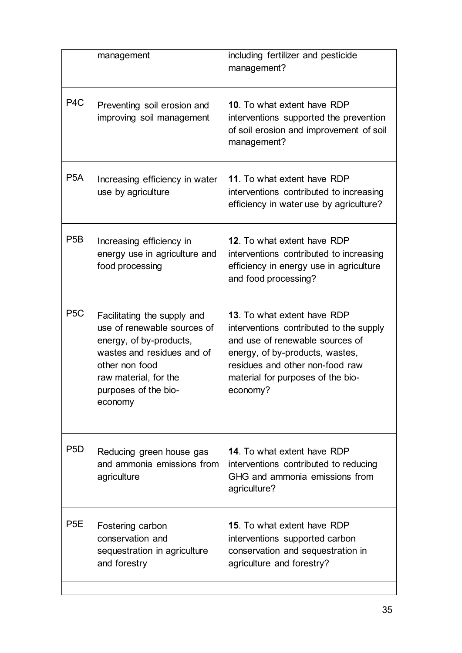|                  | management                                                                                                                                                                                        | including fertilizer and pesticide<br>management?                                                                                                                                                                                |
|------------------|---------------------------------------------------------------------------------------------------------------------------------------------------------------------------------------------------|----------------------------------------------------------------------------------------------------------------------------------------------------------------------------------------------------------------------------------|
| P <sub>4</sub> C | Preventing soil erosion and<br>improving soil management                                                                                                                                          | 10. To what extent have RDP<br>interventions supported the prevention<br>of soil erosion and improvement of soil<br>management?                                                                                                  |
| P <sub>5</sub> A | Increasing efficiency in water<br>use by agriculture                                                                                                                                              | 11. To what extent have RDP<br>interventions contributed to increasing<br>efficiency in water use by agriculture?                                                                                                                |
| P <sub>5</sub> B | Increasing efficiency in<br>energy use in agriculture and<br>food processing                                                                                                                      | 12. To what extent have RDP<br>interventions contributed to increasing<br>efficiency in energy use in agriculture<br>and food processing?                                                                                        |
| P <sub>5</sub> C | Facilitating the supply and<br>use of renewable sources of<br>energy, of by-products,<br>wastes and residues and of<br>other non food<br>raw material, for the<br>purposes of the bio-<br>economy | 13. To what extent have RDP<br>interventions contributed to the supply<br>and use of renewable sources of<br>energy, of by-products, wastes,<br>residues and other non-food raw<br>material for purposes of the bio-<br>economy? |
| P <sub>5</sub> D | Reducing green house gas<br>and ammonia emissions from<br>agriculture                                                                                                                             | <b>14.</b> To what extent have RDP<br>interventions contributed to reducing<br>GHG and ammonia emissions from<br>agriculture?                                                                                                    |
| P <sub>5</sub> E | Fostering carbon<br>conservation and<br>sequestration in agriculture<br>and forestry                                                                                                              | <b>15.</b> To what extent have RDP<br>interventions supported carbon<br>conservation and sequestration in<br>agriculture and forestry?                                                                                           |
|                  |                                                                                                                                                                                                   |                                                                                                                                                                                                                                  |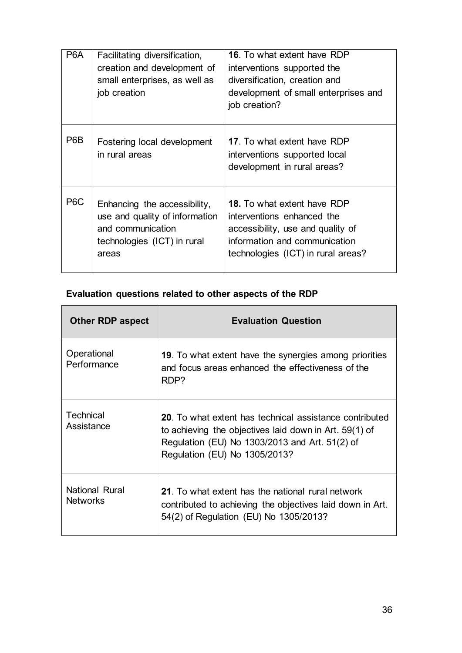| P <sub>6</sub> A | Facilitating diversification,<br>creation and development of<br>small enterprises, as well as<br>job creation               | <b>16.</b> To what extent have RDP<br>interventions supported the<br>diversification, creation and<br>development of small enterprises and<br>job creation?                  |
|------------------|-----------------------------------------------------------------------------------------------------------------------------|------------------------------------------------------------------------------------------------------------------------------------------------------------------------------|
| P6B              | Fostering local development<br>in rural areas                                                                               | <b>17.</b> To what extent have RDP<br>interventions supported local<br>development in rural areas?                                                                           |
| P <sub>6</sub> C | Enhancing the accessibility,<br>use and quality of information<br>and communication<br>technologies (ICT) in rural<br>areas | <b>18.</b> To what extent have RDP<br>interventions enhanced the<br>accessibility, use and quality of<br>information and communication<br>technologies (ICT) in rural areas? |

## **Evaluation questions related to other aspects of the RDP**

| <b>Other RDP aspect</b>           | <b>Evaluation Question</b>                                                                                                                                                                                   |
|-----------------------------------|--------------------------------------------------------------------------------------------------------------------------------------------------------------------------------------------------------------|
| Operational<br>Performance        | 19. To what extent have the synergies among priorities<br>and focus areas enhanced the effectiveness of the<br>RDP?                                                                                          |
| Technical<br>Assistance           | <b>20</b> . To what extent has technical assistance contributed<br>to achieving the objectives laid down in Art. 59(1) of<br>Regulation (EU) No 1303/2013 and Art. 51(2) of<br>Regulation (EU) No 1305/2013? |
| National Rural<br><b>Networks</b> | 21. To what extent has the national rural network<br>contributed to achieving the objectives laid down in Art.<br>54(2) of Regulation (EU) No 1305/2013?                                                     |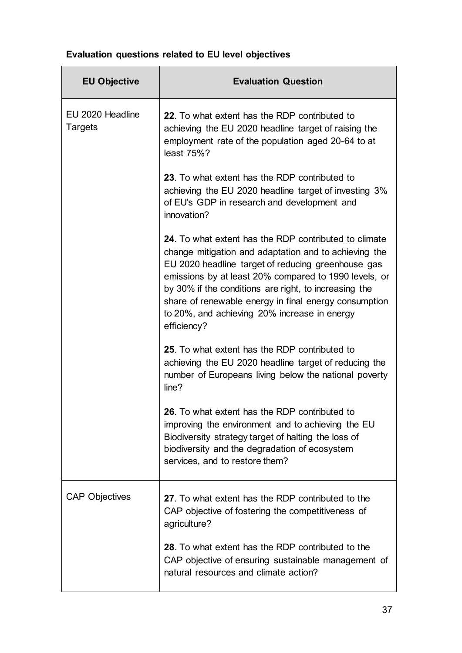## **Evaluation questions related to EU level objectives**

| <b>EU Objective</b>         | <b>Evaluation Question</b>                                                                                                                                                                                                                                                                                                                                                                                     |
|-----------------------------|----------------------------------------------------------------------------------------------------------------------------------------------------------------------------------------------------------------------------------------------------------------------------------------------------------------------------------------------------------------------------------------------------------------|
| EU 2020 Headline<br>Targets | 22. To what extent has the RDP contributed to<br>achieving the EU 2020 headline target of raising the<br>employment rate of the population aged 20-64 to at<br>least 75%?                                                                                                                                                                                                                                      |
|                             | 23. To what extent has the RDP contributed to<br>achieving the EU 2020 headline target of investing 3%<br>of EU's GDP in research and development and<br>innovation?                                                                                                                                                                                                                                           |
|                             | 24. To what extent has the RDP contributed to climate<br>change mitigation and adaptation and to achieving the<br>EU 2020 headline target of reducing greenhouse gas<br>emissions by at least 20% compared to 1990 levels, or<br>by 30% if the conditions are right, to increasing the<br>share of renewable energy in final energy consumption<br>to 20%, and achieving 20% increase in energy<br>efficiency? |
|                             | 25. To what extent has the RDP contributed to<br>achieving the EU 2020 headline target of reducing the<br>number of Europeans living below the national poverty<br>line?                                                                                                                                                                                                                                       |
|                             | 26. To what extent has the RDP contributed to<br>improving the environment and to achieving the EU<br>Biodiversity strategy target of halting the loss of<br>biodiversity and the degradation of ecosystem<br>services, and to restore them?                                                                                                                                                                   |
| <b>CAP Objectives</b>       | 27. To what extent has the RDP contributed to the<br>CAP objective of fostering the competitiveness of<br>agriculture?                                                                                                                                                                                                                                                                                         |
|                             | 28. To what extent has the RDP contributed to the<br>CAP objective of ensuring sustainable management of<br>natural resources and climate action?                                                                                                                                                                                                                                                              |